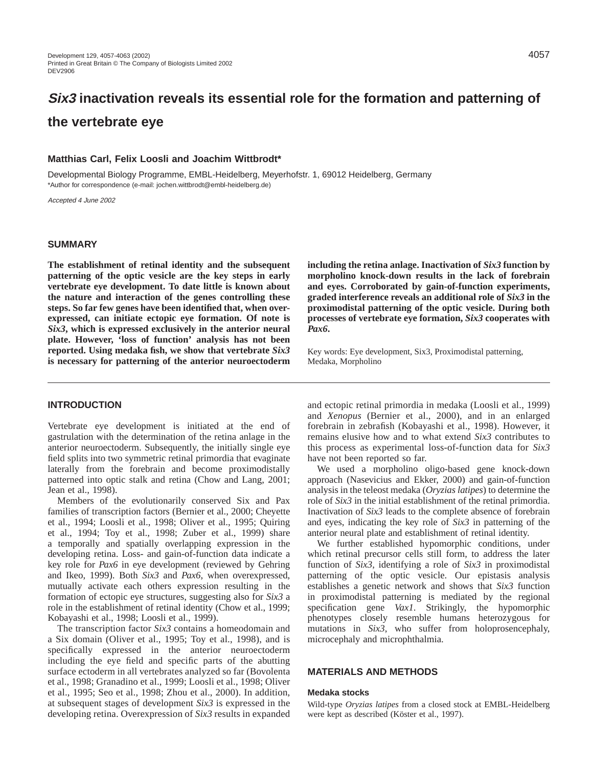# **Six3 inactivation reveals its essential role for the formation and patterning of the vertebrate eye**

#### **Matthias Carl, Felix Loosli and Joachim Wittbrodt\***

Developmental Biology Programme, EMBL-Heidelberg, Meyerhofstr. 1, 69012 Heidelberg, Germany \*Author for correspondence (e-mail: jochen.wittbrodt@embl-heidelberg.de)

Accepted 4 June 2002

# **SUMMARY**

**The establishment of retinal identity and the subsequent patterning of the optic vesicle are the key steps in early vertebrate eye development. To date little is known about the nature and interaction of the genes controlling these steps. So far few genes have been identified that, when overexpressed, can initiate ectopic eye formation. Of note is** *Six3***, which is expressed exclusively in the anterior neural plate. However, 'loss of function' analysis has not been reported. Using medaka fish, we show that vertebrate** *Six3* **is necessary for patterning of the anterior neuroectoderm**

**INTRODUCTION**

Vertebrate eye development is initiated at the end of gastrulation with the determination of the retina anlage in the anterior neuroectoderm. Subsequently, the initially single eye field splits into two symmetric retinal primordia that evaginate laterally from the forebrain and become proximodistally patterned into optic stalk and retina (Chow and Lang, 2001; Jean et al., 1998).

Members of the evolutionarily conserved Six and Pax families of transcription factors (Bernier et al., 2000; Cheyette et al., 1994; Loosli et al., 1998; Oliver et al., 1995; Quiring et al., 1994; Toy et al., 1998; Zuber et al., 1999) share a temporally and spatially overlapping expression in the developing retina. Loss- and gain-of-function data indicate a key role for *Pax6* in eye development (reviewed by Gehring and Ikeo, 1999). Both *Six3* and *Pax6*, when overexpressed, mutually activate each others expression resulting in the formation of ectopic eye structures, suggesting also for *Six3* a role in the establishment of retinal identity (Chow et al., 1999; Kobayashi et al., 1998; Loosli et al., 1999).

The transcription factor *Six3* contains a homeodomain and a Six domain (Oliver et al., 1995; Toy et al., 1998), and is specifically expressed in the anterior neuroectoderm including the eye field and specific parts of the abutting surface ectoderm in all vertebrates analyzed so far (Bovolenta et al., 1998; Granadino et al., 1999; Loosli et al., 1998; Oliver et al., 1995; Seo et al., 1998; Zhou et al., 2000). In addition, at subsequent stages of development *Six3* is expressed in the developing retina. Overexpression of *Six3* results in expanded

**including the retina anlage. Inactivation of** *Six3* **function by morpholino knock-down results in the lack of forebrain and eyes. Corroborated by gain-of-function experiments, graded interference reveals an additional role of** *Six3* **in the proximodistal patterning of the optic vesicle. During both processes of vertebrate eye formation,** *Six3* **cooperates with** *Pax6***.**

Key words: Eye development, Six3, Proximodistal patterning, Medaka, Morpholino

and ectopic retinal primordia in medaka (Loosli et al., 1999) and *Xenopus* (Bernier et al., 2000), and in an enlarged forebrain in zebrafish (Kobayashi et al., 1998). However, it remains elusive how and to what extend *Six3* contributes to this process as experimental loss-of-function data for *Six3* have not been reported so far.

We used a morpholino oligo-based gene knock-down approach (Nasevicius and Ekker, 2000) and gain-of-function analysis in the teleost medaka (*Oryzias latipes*) to determine the role of *Six3* in the initial establishment of the retinal primordia. Inactivation of *Six3* leads to the complete absence of forebrain and eyes, indicating the key role of *Six3* in patterning of the anterior neural plate and establishment of retinal identity.

We further established hypomorphic conditions, under which retinal precursor cells still form, to address the later function of *Six3*, identifying a role of *Six3* in proximodistal patterning of the optic vesicle. Our epistasis analysis establishes a genetic network and shows that *Six3* function in proximodistal patterning is mediated by the regional specification gene *Vax1*. Strikingly, the hypomorphic phenotypes closely resemble humans heterozygous for mutations in *Six3*, who suffer from holoprosencephaly, microcephaly and microphthalmia.

#### **MATERIALS AND METHODS**

#### **Medaka stocks**

Wild-type *Oryzias latipes* from a closed stock at EMBL-Heidelberg were kept as described (Köster et al., 1997).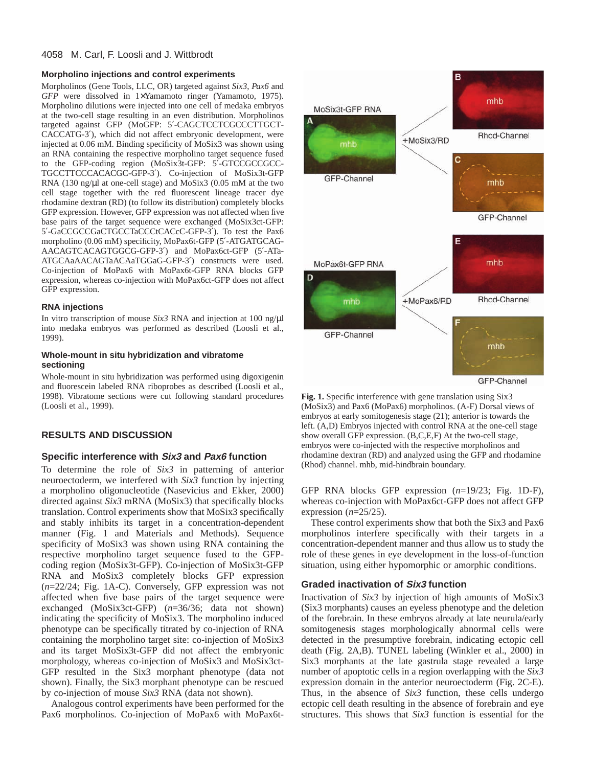# 4058 M. Carl, F. Loosli and J. Wittbrodt

#### **Morpholino injections and control experiments**

Morpholinos (Gene Tools, LLC, OR) targeted against *Six3*, *Pax6* and *GFP* were dissolved in 1×Yamamoto ringer (Yamamoto, 1975). Morpholino dilutions were injected into one cell of medaka embryos at the two-cell stage resulting in an even distribution. Morpholinos targeted against GFP (MoGFP: 5′-CAGCTCCTCGCCCTTGCT-CACCATG-3′), which did not affect embryonic development, were injected at 0.06 mM. Binding specificity of MoSix3 was shown using an RNA containing the respective morpholino target sequence fused to the GFP-coding region (MoSix3t-GFP: 5′-GTCCGCCGCC-TGCCTTCCCACACGC-GFP-3′). Co-injection of MoSix3t-GFP RNA (130 ng/µl at one-cell stage) and MoSix3 (0.05 mM at the two cell stage together with the red fluorescent lineage tracer dye rhodamine dextran (RD) (to follow its distribution) completely blocks GFP expression. However, GFP expression was not affected when five base pairs of the target sequence were exchanged (MoSix3ct-GFP: 5′-GaCCGCCGaCTGCCTaCCCtCACcC-GFP-3′). To test the Pax6 morpholino (0.06 mM) specificity, MoPax6t-GFP (5′-ATGATGCAG-AACAGTCACAGTGGCG-GFP-3′) and MoPax6ct-GFP (5′-ATa-ATGCAaAACAGTaACAaTGGaG-GFP-3′) constructs were used. Co-injection of MoPax6 with MoPax6t-GFP RNA blocks GFP expression, whereas co-injection with MoPax6ct-GFP does not affect GFP expression.

#### **RNA injections**

In vitro transcription of mouse *Six3* RNA and injection at 100 ng/µl into medaka embryos was performed as described (Loosli et al., 1999).

#### **Whole-mount in situ hybridization and vibratome sectioning**

Whole-mount in situ hybridization was performed using digoxigenin and fluorescein labeled RNA riboprobes as described (Loosli et al., 1998). Vibratome sections were cut following standard procedures (Loosli et al., 1999).

# **RESULTS AND DISCUSSION**

# **Specific interference with Six3 and Pax6 function**

To determine the role of *Six3* in patterning of anterior neuroectoderm, we interfered with *Six3* function by injecting a morpholino oligonucleotide (Nasevicius and Ekker, 2000) directed against *Six3* mRNA (MoSix3) that specifically blocks translation. Control experiments show that MoSix3 specifically and stably inhibits its target in a concentration-dependent manner (Fig. 1 and Materials and Methods). Sequence specificity of MoSix3 was shown using RNA containing the respective morpholino target sequence fused to the GFPcoding region (MoSix3t-GFP). Co-injection of MoSix3t-GFP RNA and MoSix3 completely blocks GFP expression (*n*=22/24; Fig. 1A-C). Conversely, GFP expression was not affected when five base pairs of the target sequence were exchanged (MoSix3ct-GFP) (*n*=36/36; data not shown) indicating the specificity of MoSix3. The morpholino induced phenotype can be specifically titrated by co-injection of RNA containing the morpholino target site: co-injection of MoSix3 and its target MoSix3t-GFP did not affect the embryonic morphology, whereas co-injection of MoSix3 and MoSix3ct-GFP resulted in the Six3 morphant phenotype (data not shown). Finally, the Six3 morphant phenotype can be rescued by co-injection of mouse *Six3* RNA (data not shown).

Analogous control experiments have been performed for the Pax6 morpholinos. Co-injection of MoPax6 with MoPax6t-



**Fig. 1.** Specific interference with gene translation using Six3 (MoSix3) and Pax6 (MoPax6) morpholinos. (A-F) Dorsal views of embryos at early somitogenesis stage (21); anterior is towards the left. (A,D) Embryos injected with control RNA at the one-cell stage show overall GFP expression. (B,C,E,F) At the two-cell stage, embryos were co-injected with the respective morpholinos and rhodamine dextran (RD) and analyzed using the GFP and rhodamine (Rhod) channel. mhb, mid-hindbrain boundary.

GFP RNA blocks GFP expression (*n*=19/23; Fig. 1D-F), whereas co-injection with MoPax6ct-GFP does not affect GFP expression (*n*=25/25).

These control experiments show that both the Six3 and Pax6 morpholinos interfere specifically with their targets in a concentration-dependent manner and thus allow us to study the role of these genes in eye development in the loss-of-function situation, using either hypomorphic or amorphic conditions.

# **Graded inactivation of Six3 function**

Inactivation of *Six3* by injection of high amounts of MoSix3 (Six3 morphants) causes an eyeless phenotype and the deletion of the forebrain. In these embryos already at late neurula/early somitogenesis stages morphologically abnormal cells were detected in the presumptive forebrain, indicating ectopic cell death (Fig. 2A,B). TUNEL labeling (Winkler et al., 2000) in Six3 morphants at the late gastrula stage revealed a large number of apoptotic cells in a region overlapping with the *Six3* expression domain in the anterior neuroectoderm (Fig. 2C-E). Thus, in the absence of *Six3* function, these cells undergo ectopic cell death resulting in the absence of forebrain and eye structures. This shows that *Six3* function is essential for the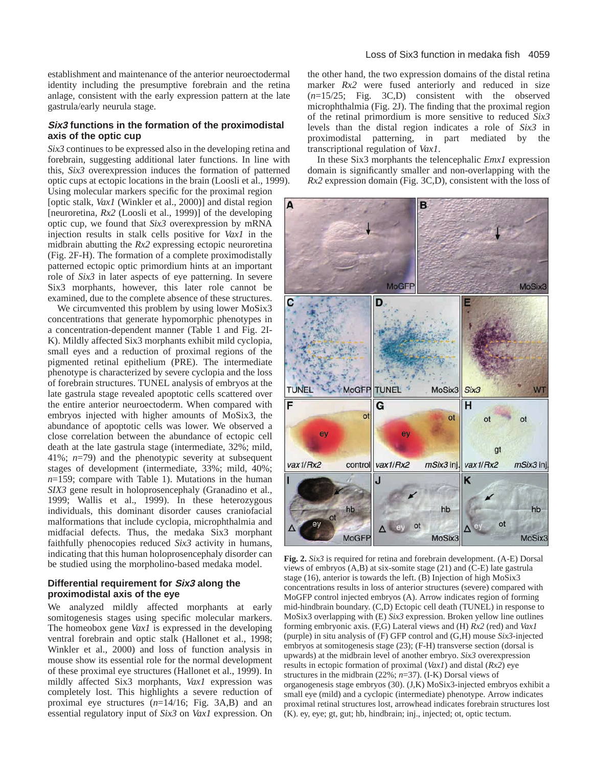establishment and maintenance of the anterior neuroectodermal identity including the presumptive forebrain and the retina anlage, consistent with the early expression pattern at the late gastrula/early neurula stage.

#### **Six3 functions in the formation of the proximodistal axis of the optic cup**

*Six3* continues to be expressed also in the developing retina and forebrain, suggesting additional later functions. In line with this, *Six3* overexpression induces the formation of patterned optic cups at ectopic locations in the brain (Loosli et al., 1999).

Using molecular markers specific for the proximal region [optic stalk, *Vax1* (Winkler et al., 2000)] and distal region [neuroretina,  $Rx2$  (Loosli et al., 1999)] of the developing optic cup, we found that *Six3* overexpression by mRNA injection results in stalk cells positive for *Vax1* in the midbrain abutting the *Rx2* expressing ectopic neuroretina (Fig. 2F-H). The formation of a complete proximodistally patterned ectopic optic primordium hints at an important role of *Six3* in later aspects of eye patterning. In severe Six3 morphants, however, this later role cannot be examined, due to the complete absence of these structures.

We circumvented this problem by using lower MoSix3 concentrations that generate hypomorphic phenotypes in a concentration-dependent manner (Table 1 and Fig. 2I-K). Mildly affected Six3 morphants exhibit mild cyclopia, small eyes and a reduction of proximal regions of the pigmented retinal epithelium (PRE). The intermediate phenotype is characterized by severe cyclopia and the loss of forebrain structures. TUNEL analysis of embryos at the late gastrula stage revealed apoptotic cells scattered over the entire anterior neuroectoderm. When compared with embryos injected with higher amounts of MoSix3, the abundance of apoptotic cells was lower. We observed a close correlation between the abundance of ectopic cell death at the late gastrula stage (intermediate, 32%; mild, 41%; *n*=79) and the phenotypic severity at subsequent stages of development (intermediate, 33%; mild, 40%; *n*=159; compare with Table 1). Mutations in the human *SIX3* gene result in holoprosencephaly (Granadino et al., 1999; Wallis et al., 1999). In these heterozygous individuals, this dominant disorder causes craniofacial malformations that include cyclopia, microphthalmia and midfacial defects. Thus, the medaka Six3 morphant faithfully phenocopies reduced *Six3* activity in humans, indicating that this human holoprosencephaly disorder can be studied using the morpholino-based medaka model.

# **Differential requirement for Six3 along the proximodistal axis of the eye**

We analyzed mildly affected morphants at early somitogenesis stages using specific molecular markers. The homeobox gene *Vax1* is expressed in the developing ventral forebrain and optic stalk (Hallonet et al., 1998; Winkler et al., 2000) and loss of function analysis in mouse show its essential role for the normal development of these proximal eye structures (Hallonet et al., 1999). In mildly affected Six3 morphants, *Vax1* expression was completely lost. This highlights a severe reduction of proximal eye structures (*n*=14/16; Fig. 3A,B) and an essential regulatory input of *Six3* on *Vax1* expression. On the other hand, the two expression domains of the distal retina marker *Rx2* were fused anteriorly and reduced in size (*n*=15/25; Fig. 3C,D) consistent with the observed microphthalmia (Fig. 2J). The finding that the proximal region of the retinal primordium is more sensitive to reduced *Six3* levels than the distal region indicates a role of *Six3* in proximodistal patterning, in part mediated by the transcriptional regulation of *Vax1*.

In these Six3 morphants the telencephalic *Emx1* expression domain is significantly smaller and non-overlapping with the *Rx2* expression domain (Fig. 3C,D), consistent with the loss of



**Fig. 2.** *Six3* is required for retina and forebrain development. (A-E) Dorsal views of embryos (A,B) at six-somite stage (21) and (C-E) late gastrula stage (16), anterior is towards the left. (B) Injection of high MoSix3 concentrations results in loss of anterior structures (severe) compared with MoGFP control injected embryos (A). Arrow indicates region of forming mid-hindbrain boundary. (C,D) Ectopic cell death (TUNEL) in response to MoSix3 overlapping with (E) *Six3* expression. Broken yellow line outlines forming embryonic axis. (F,G) Lateral views and (H) *Rx2* (red) and *Vax1* (purple) in situ analysis of (F) GFP control and (G,H) mouse *Six3*-injected embryos at somitogenesis stage (23); (F-H) transverse section (dorsal is upwards) at the midbrain level of another embryo. *Six3* overexpression results in ectopic formation of proximal (*Vax1*) and distal (*Rx2*) eye structures in the midbrain (22%; *n*=37). (I-K) Dorsal views of organogenesis stage embryos (30). (J,K) MoSix3-injected embryos exhibit a small eye (mild) and a cyclopic (intermediate) phenotype. Arrow indicates proximal retinal structures lost, arrowhead indicates forebrain structures lost (K). ey, eye; gt, gut; hb, hindbrain; inj., injected; ot, optic tectum.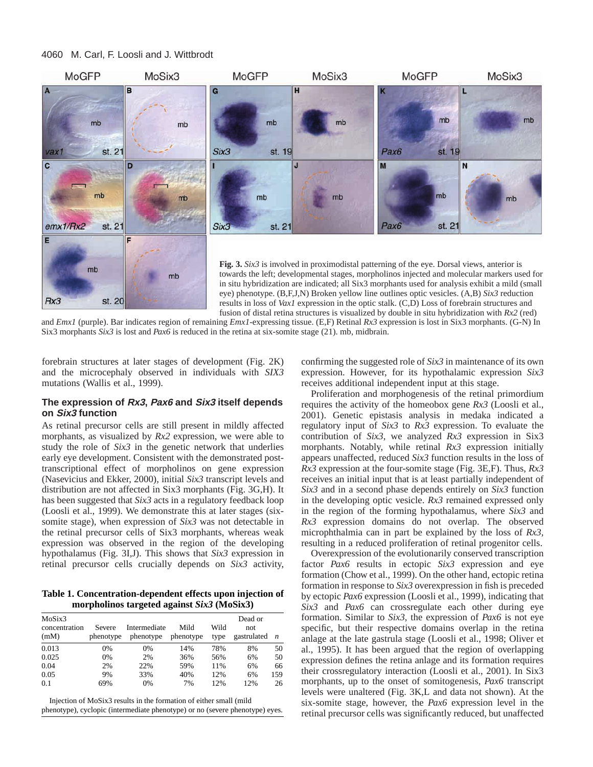#### 4060 M. Carl, F. Loosli and J. Wittbrodt



and *Emx1* (purple). Bar indicates region of remaining *Emx1-*expressing tissue. (E,F) Retinal *Rx3* expression is lost in Six3 morphants. (G-N) In Six3 morphants *Six3* is lost and *Pax6* is reduced in the retina at six-somite stage (21). mb, midbrain.

forebrain structures at later stages of development (Fig. 2K) and the microcephaly observed in individuals with *SIX3* mutations (Wallis et al., 1999).

#### **The expression of Rx3, Pax6 and Six3 itself depends on Six3 function**

As retinal precursor cells are still present in mildly affected morphants, as visualized by *Rx2* expression, we were able to study the role of *Six3* in the genetic network that underlies early eye development. Consistent with the demonstrated posttranscriptional effect of morpholinos on gene expression (Nasevicius and Ekker, 2000), initial *Six3* transcript levels and distribution are not affected in Six3 morphants (Fig. 3G,H). It has been suggested that *Six3* acts in a regulatory feedback loop (Loosli et al., 1999). We demonstrate this at later stages (sixsomite stage), when expression of *Six3* was not detectable in the retinal precursor cells of Six3 morphants, whereas weak expression was observed in the region of the developing hypothalamus (Fig. 3I,J). This shows that *Six3* expression in retinal precursor cells crucially depends on *Six3* activity,

**Table 1. Concentration-dependent effects upon injection of morpholinos targeted against** *Six3* **(MoSix3)**

| MoSix3<br>concentration<br>(mM) | Severe<br>phenotype | Intermediate<br>phenotype | Mild<br>phenotype | Wild<br>type | Dead or<br>not<br>gastrulated | n   |
|---------------------------------|---------------------|---------------------------|-------------------|--------------|-------------------------------|-----|
| 0.013                           | $0\%$               | 0%                        | 14%               | 78%          | 8%                            | 50  |
| 0.025                           | 0%                  | 2%                        | 36%               | 56%          | 6%                            | 50  |
| 0.04                            | 2%                  | 22%                       | 59%               | 11%          | 6%                            | 66  |
| 0.05                            | 9%                  | 33%                       | 40%               | 12%          | 6%                            | 159 |
| 0.1                             | 69%                 | 0%                        | 7%                | 12%          | 12%                           | 26  |

Injection of MoSix3 results in the formation of either small (mild phenotype), cyclopic (intermediate phenotype) or no (severe phenotype) eyes.

confirming the suggested role of *Six3* in maintenance of its own expression. However, for its hypothalamic expression *Six3* receives additional independent input at this stage.

Proliferation and morphogenesis of the retinal primordium requires the activity of the homeobox gene *Rx3* (Loosli et al., 2001). Genetic epistasis analysis in medaka indicated a regulatory input of *Six3* to *Rx3* expression. To evaluate the contribution of *Six3*, we analyzed *Rx3* expression in Six3 morphants. Notably, while retinal *Rx3* expression initially appears unaffected, reduced *Six3* function results in the loss of *Rx3* expression at the four-somite stage (Fig. 3E,F). Thus, *Rx3* receives an initial input that is at least partially independent of *Six3* and in a second phase depends entirely on *Six3* function in the developing optic vesicle. *Rx3* remained expressed only in the region of the forming hypothalamus, where *Six3* and *Rx3* expression domains do not overlap. The observed microphthalmia can in part be explained by the loss of *Rx3*, resulting in a reduced proliferation of retinal progenitor cells.

Overexpression of the evolutionarily conserved transcription factor *Pax6* results in ectopic *Six3* expression and eye formation (Chow et al., 1999). On the other hand, ectopic retina formation in response to *Six3* overexpression in fish is preceded by ectopic *Pax6* expression (Loosli et al., 1999), indicating that *Six3* and *Pax6* can crossregulate each other during eye formation. Similar to *Six3*, the expression of *Pax6* is not eye specific, but their respective domains overlap in the retina anlage at the late gastrula stage (Loosli et al., 1998; Oliver et al., 1995). It has been argued that the region of overlapping expression defines the retina anlage and its formation requires their crossregulatory interaction (Loosli et al., 2001). In Six3 morphants, up to the onset of somitogenesis, *Pax6* transcript levels were unaltered (Fig. 3K,L and data not shown). At the six-somite stage, however, the *Pax6* expression level in the retinal precursor cells was significantly reduced, but unaffected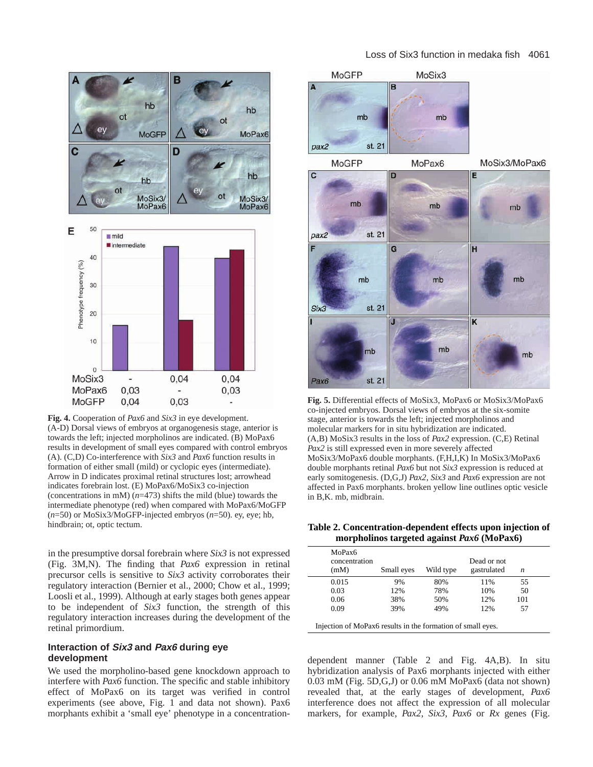

**Fig. 4.** Cooperation of *Pax6* and *Six3* in eye development. (A-D) Dorsal views of embryos at organogenesis stage, anterior is towards the left; injected morpholinos are indicated. (B) MoPax6 results in development of small eyes compared with control embryos (A). (C,D) Co-interference with *Six3* and *Pax6* function results in formation of either small (mild) or cyclopic eyes (intermediate). Arrow in D indicates proximal retinal structures lost; arrowhead indicates forebrain lost. (E) MoPax6/MoSix3 co-injection (concentrations in mM) (*n*=473) shifts the mild (blue) towards the intermediate phenotype (red) when compared with MoPax6/MoGFP (*n*=50) or MoSix3/MoGFP-injected embryos (*n*=50). ey, eye; hb, hindbrain; ot, optic tectum.

in the presumptive dorsal forebrain where *Six3* is not expressed (Fig. 3M,N). The finding that *Pax6* expression in retinal precursor cells is sensitive to *Six3* activity corroborates their regulatory interaction (Bernier et al., 2000; Chow et al., 1999; Loosli et al., 1999). Although at early stages both genes appear to be independent of *Six3* function, the strength of this regulatory interaction increases during the development of the retinal primordium.

# **Interaction of Six3 and Pax6 during eye development**

We used the morpholino-based gene knockdown approach to interfere with *Pax6* function. The specific and stable inhibitory effect of MoPax6 on its target was verified in control experiments (see above, Fig. 1 and data not shown). Pax6 morphants exhibit a 'small eye' phenotype in a concentration-

# Loss of Six3 function in medaka fish 4061



**Fig. 5.** Differential effects of MoSix3, MoPax6 or MoSix3/MoPax6 co-injected embryos. Dorsal views of embryos at the six-somite stage, anterior is towards the left; injected morpholinos and molecular markers for in situ hybridization are indicated. (A,B) MoSix3 results in the loss of *Pax2* expression. (C,E) Retinal *Pax2* is still expressed even in more severely affected MoSix3/MoPax6 double morphants. (F,H,I,K) In MoSix3/MoPax6 double morphants retinal *Pax6* but not *Six3* expression is reduced at early somitogenesis. (D,G,J) *Pax2*, *Six3* and *Pax6* expression are not affected in Pax6 morphants. broken yellow line outlines optic vesicle in B,K. mb, midbrain.

| moi phonnos tai geteu agamst 1 axo (14101 axo) |            |           |                            |     |  |  |  |  |
|------------------------------------------------|------------|-----------|----------------------------|-----|--|--|--|--|
| MoPax <sub>6</sub><br>concentration<br>(mM)    | Small eyes | Wild type | Dead or not<br>gastrulated | n   |  |  |  |  |
| 0.015                                          | 9%         | 80%       | 11%                        | 55  |  |  |  |  |
| 0.03                                           | 12%        | 78%       | 10%                        | 50  |  |  |  |  |
| 0.06                                           | 38%        | 50%       | 12%                        | 101 |  |  |  |  |
| 0.09                                           | 39%        | 49%       | 12%                        | 57  |  |  |  |  |

**Table 2. Concentration-dependent effects upon injection of morpholinos targeted against** *Pax6* **(MoPax6)**

Injection of MoPax6 results in the formation of small eyes.

dependent manner (Table 2 and Fig. 4A,B). In situ hybridization analysis of Pax6 morphants injected with either 0.03 mM (Fig. 5D,G,J) or 0.06 mM MoPax6 (data not shown) revealed that, at the early stages of development, *Pax6* interference does not affect the expression of all molecular markers, for example, *Pax2*, *Six3*, *Pax6* or *Rx* genes (Fig.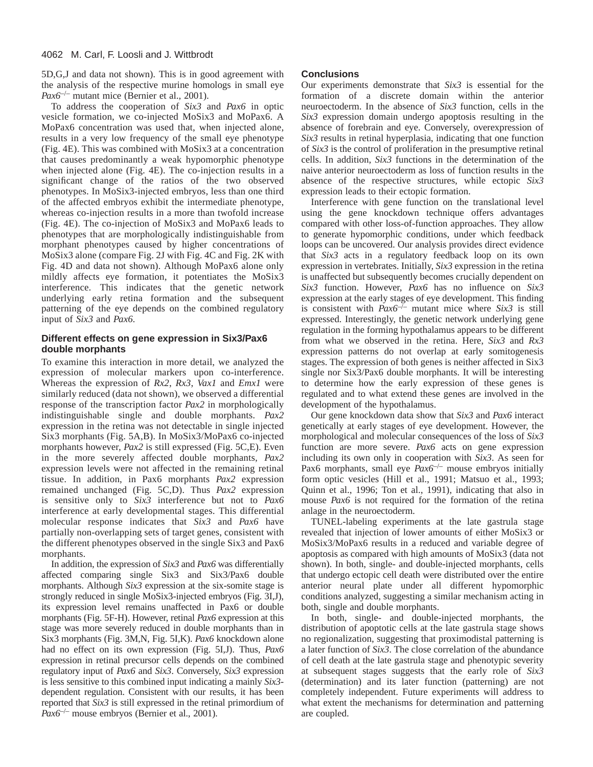5D,G,J and data not shown). This is in good agreement with the analysis of the respective murine homologs in small eye *Pax6*–/– mutant mice (Bernier et al., 2001).

To address the cooperation of *Six3* and *Pax6* in optic vesicle formation, we co-injected MoSix3 and MoPax6. A MoPax6 concentration was used that, when injected alone, results in a very low frequency of the small eye phenotype (Fig. 4E). This was combined with MoSix3 at a concentration that causes predominantly a weak hypomorphic phenotype when injected alone (Fig. 4E). The co-injection results in a significant change of the ratios of the two observed phenotypes. In MoSix3-injected embryos, less than one third of the affected embryos exhibit the intermediate phenotype, whereas co-injection results in a more than twofold increase (Fig. 4E). The co-injection of MoSix3 and MoPax6 leads to phenotypes that are morphologically indistinguishable from morphant phenotypes caused by higher concentrations of MoSix3 alone (compare Fig. 2J with Fig. 4C and Fig. 2K with Fig. 4D and data not shown). Although MoPax6 alone only mildly affects eye formation, it potentiates the MoSix3 interference. This indicates that the genetic network underlying early retina formation and the subsequent patterning of the eye depends on the combined regulatory input of *Six3* and *Pax6.*

# **Different effects on gene expression in Six3/Pax6 double morphants**

To examine this interaction in more detail, we analyzed the expression of molecular markers upon co-interference. Whereas the expression of *Rx2*, *Rx3*, *Vax1* and *Emx1* were similarly reduced (data not shown), we observed a differential response of the transcription factor *Pax2* in morphologically indistinguishable single and double morphants. *Pax2* expression in the retina was not detectable in single injected Six3 morphants (Fig. 5A,B). In MoSix3/MoPax6 co-injected morphants however, *Pax2* is still expressed (Fig. 5C,E). Even in the more severely affected double morphants, *Pax2* expression levels were not affected in the remaining retinal tissue. In addition, in Pax6 morphants *Pax2* expression remained unchanged (Fig. 5C,D). Thus *Pax2* expression is sensitive only to *Six3* interference but not to *Pax6* interference at early developmental stages. This differential molecular response indicates that *Six3* and *Pax6* have partially non-overlapping sets of target genes, consistent with the different phenotypes observed in the single Six3 and Pax6 morphants.

In addition, the expression of *Six3* and *Pax6* was differentially affected comparing single Six3 and Six3/Pax6 double morphants. Although *Six3* expression at the six-somite stage is strongly reduced in single MoSix3-injected embryos (Fig. 3I,J), its expression level remains unaffected in Pax6 or double morphants (Fig. 5F-H). However, retinal *Pax6* expression at this stage was more severely reduced in double morphants than in Six3 morphants (Fig. 3M,N, Fig. 5I,K). *Pax6* knockdown alone had no effect on its own expression (Fig. 5I,J). Thus, *Pax6* expression in retinal precursor cells depends on the combined regulatory input of *Pax6* and *Six3*. Conversely, *Six3* expression is less sensitive to this combined input indicating a mainly *Six3* dependent regulation. Consistent with our results, it has been reported that *Six3* is still expressed in the retinal primordium of *Pax6*–/– mouse embryos (Bernier et al., 2001).

# **Conclusions**

Our experiments demonstrate that *Six3* is essential for the formation of a discrete domain within the anterior neuroectoderm. In the absence of *Six3* function, cells in the *Six3* expression domain undergo apoptosis resulting in the absence of forebrain and eye. Conversely, overexpression of *Six3* results in retinal hyperplasia, indicating that one function of *Six3* is the control of proliferation in the presumptive retinal cells. In addition, *Six3* functions in the determination of the naive anterior neuroectoderm as loss of function results in the absence of the respective structures, while ectopic *Six3* expression leads to their ectopic formation.

Interference with gene function on the translational level using the gene knockdown technique offers advantages compared with other loss-of-function approaches. They allow to generate hypomorphic conditions, under which feedback loops can be uncovered. Our analysis provides direct evidence that *Six3* acts in a regulatory feedback loop on its own expression in vertebrates. Initially, *Six3* expression in the retina is unaffected but subsequently becomes crucially dependent on *Six3* function. However, *Pax6* has no influence on *Six3* expression at the early stages of eye development. This finding is consistent with  $Pax6^{-1}$  mutant mice where *Six3* is still expressed. Interestingly, the genetic network underlying gene regulation in the forming hypothalamus appears to be different from what we observed in the retina. Here, *Six3* and *Rx3* expression patterns do not overlap at early somitogenesis stages. The expression of both genes is neither affected in Six3 single nor Six3/Pax6 double morphants. It will be interesting to determine how the early expression of these genes is regulated and to what extend these genes are involved in the development of the hypothalamus.

Our gene knockdown data show that *Six3* and *Pax6* interact genetically at early stages of eye development. However, the morphological and molecular consequences of the loss of *Six3* function are more severe. *Pax6* acts on gene expression including its own only in cooperation with *Six3*. As seen for Pax6 morphants, small eye *Pax6<sup>-/-</sup>* mouse embryos initially form optic vesicles (Hill et al., 1991; Matsuo et al., 1993; Quinn et al., 1996; Ton et al., 1991), indicating that also in mouse *Pax6* is not required for the formation of the retina anlage in the neuroectoderm.

TUNEL-labeling experiments at the late gastrula stage revealed that injection of lower amounts of either MoSix3 or MoSix3/MoPax6 results in a reduced and variable degree of apoptosis as compared with high amounts of MoSix3 (data not shown). In both, single- and double-injected morphants, cells that undergo ectopic cell death were distributed over the entire anterior neural plate under all different hypomorphic conditions analyzed, suggesting a similar mechanism acting in both, single and double morphants.

In both, single- and double-injected morphants, the distribution of apoptotic cells at the late gastrula stage shows no regionalization, suggesting that proximodistal patterning is a later function of *Six3*. The close correlation of the abundance of cell death at the late gastrula stage and phenotypic severity at subsequent stages suggests that the early role of *Six3* (determination) and its later function (patterning) are not completely independent. Future experiments will address to what extent the mechanisms for determination and patterning are coupled.